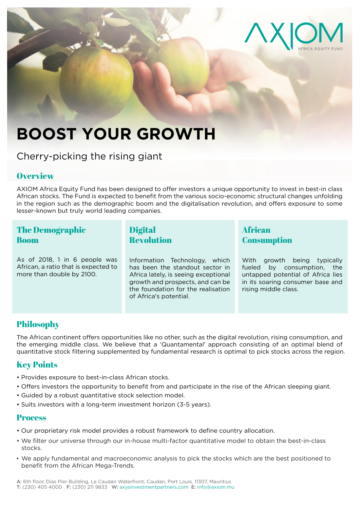

# **BOOST YOUR GROWTH**

Cherry-picking the rising giant

### **Overview**

AXIOM Africa Equity Fund has been designed to offer investors a unique opportunity to invest in best-in class African stocks. The Fund is expected to benefit from the various socio-economic structural changes unfolding in the region such as the demographic boom and the digitalisation revolution, and offers exposure to some lesser-known but truly world leading companies.

## The Demographic Boom

As of 2018, 1 in 6 people was African, a ratio that is expected to more than double by 2100.

Digital Revolution

Information Technology, which has been the standout sector in Africa lately, is seeing exceptional growth and prospects, and can be the foundation for the realisation of Africa's potential.

## African **Consumption**

With growth being typically fueled by consumption, the untapped potential of Africa lies in its soaring consumer base and rising middle class.

# Philosophy

The African continent offers opportunities like no other, such as the digital revolution, rising consumption, and the emerging middle class. We believe that a 'Quantamental' approach consisting of an optimal blend of quantitative stock filtering supplemented by fundamental research is optimal to pick stocks across the region.

## Key Points

- Provides exposure to best-in-class African stocks.
- Offers investors the opportunity to benefit from and participate in the rise of the African sleeping giant.
- Guided by a robust quantitative stock selection model.
- Suits investors with a long-term investment horizon (3-5 years).

### **Process**

- Our proprietary risk model provides a robust framework to define country allocation.
- We filter our universe through our in-house multi-factor quantitative model to obtain the best-in-class stocks.
- We apply fundamental and macroeconomic analysis to pick the stocks which are the best positioned to benefit from the African Mega-Trends.